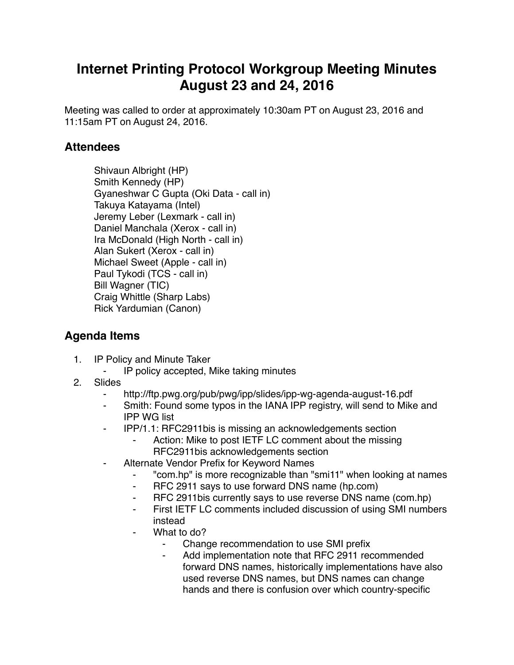## **Internet Printing Protocol Workgroup Meeting Minutes August 23 and 24, 2016**

Meeting was called to order at approximately 10:30am PT on August 23, 2016 and 11:15am PT on August 24, 2016.

## **Attendees**

Shivaun Albright (HP) Smith Kennedy (HP) Gyaneshwar C Gupta (Oki Data - call in) Takuya Katayama (Intel) Jeremy Leber (Lexmark - call in) Daniel Manchala (Xerox - call in) Ira McDonald (High North - call in) Alan Sukert (Xerox - call in) Michael Sweet (Apple - call in) Paul Tykodi (TCS - call in) Bill Wagner (TIC) Craig Whittle (Sharp Labs) Rick Yardumian (Canon)

## **Agenda Items**

- 1. IP Policy and Minute Taker
	- ⁃ IP policy accepted, Mike taking minutes
- 2. Slides
	- http://ftp.pwg.org/pub/pwg/ipp/slides/ipp-wg-agenda-august-16.pdf
	- Smith: Found some typos in the IANA IPP registry, will send to Mike and IPP WG list
	- ⁃ IPP/1.1: RFC2911bis is missing an acknowledgements section
		- Action: Mike to post IETF LC comment about the missing RFC2911bis acknowledgements section
	- Alternate Vendor Prefix for Keyword Names
		- ⁃ "com.hp" is more recognizable than "smi11" when looking at names
		- ⁃ RFC 2911 says to use forward DNS name (hp.com)
		- ⁃ RFC 2911bis currently says to use reverse DNS name (com.hp)
		- First IETF LC comments included discussion of using SMI numbers instead
		- What to do?
			- Change recommendation to use SMI prefix
			- Add implementation note that RFC 2911 recommended forward DNS names, historically implementations have also used reverse DNS names, but DNS names can change hands and there is confusion over which country-specific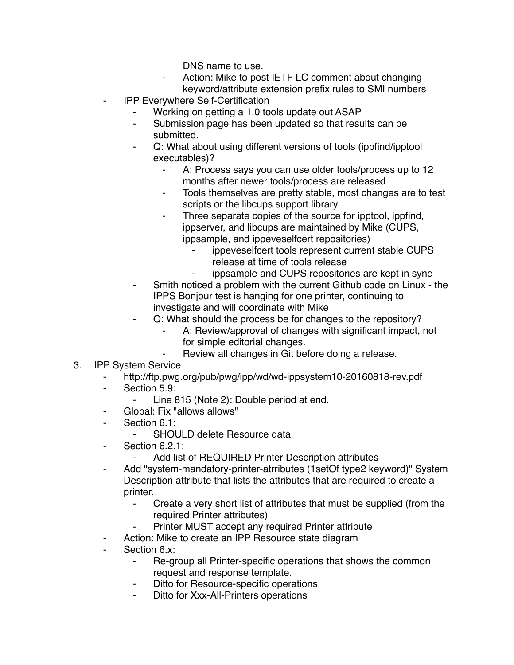DNS name to use.

- Action: Mike to post IETF LC comment about changing keyword/attribute extension prefix rules to SMI numbers
- **IPP Everywhere Self-Certification** 
	- Working on getting a 1.0 tools update out ASAP
	- ⁃ Submission page has been updated so that results can be submitted.
	- Q: What about using different versions of tools (ippfind/ipptool) executables)?
		- A: Process says you can use older tools/process up to 12 months after newer tools/process are released
		- ⁃ Tools themselves are pretty stable, most changes are to test scripts or the libcups support library
		- Three separate copies of the source for ipptool, ippfind, ippserver, and libcups are maintained by Mike (CUPS, ippsample, and ippeveselfcert repositories)
			- ippeveselfcert tools represent current stable CUPS release at time of tools release
				- ippsample and CUPS repositories are kept in sync
	- ⁃ Smith noticed a problem with the current Github code on Linux the IPPS Bonjour test is hanging for one printer, continuing to investigate and will coordinate with Mike
	- Q: What should the process be for changes to the repository?
		- A: Review/approval of changes with significant impact, not for simple editorial changes.
		- Review all changes in Git before doing a release.
- 3. IPP System Service
	- http://ftp.pwg.org/pub/pwg/ipp/wd/wd-ippsystem10-20160818-rev.pdf
	- Section 5.9:
		- Line 815 (Note 2): Double period at end.
	- Global: Fix "allows allows"
	- ⁃ Section 6.1:
		- SHOULD delete Resource data
	- Section 6.2.1:
		- Add list of REQUIRED Printer Description attributes
	- Add "system-mandatory-printer-atrributes (1setOf type2 keyword)" System Description attribute that lists the attributes that are required to create a printer.
		- Create a very short list of attributes that must be supplied (from the required Printer attributes)
		- Printer MUST accept any required Printer attribute
	- ⁃ Action: Mike to create an IPP Resource state diagram
	- Section 6.x:
		- ⁃ Re-group all Printer-specific operations that shows the common request and response template.
		- Ditto for Resource-specific operations
		- Ditto for Xxx-All-Printers operations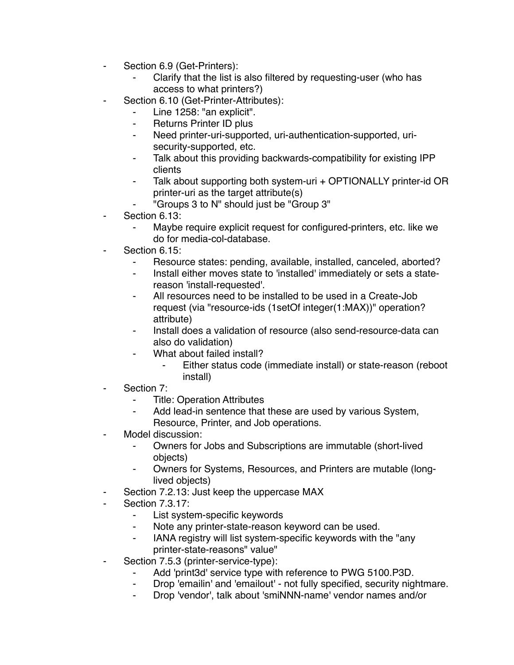- ⁃ Section 6.9 (Get-Printers):
	- Clarify that the list is also filtered by requesting-user (who has access to what printers?)
- Section 6.10 (Get-Printer-Attributes):
	- ⁃ Line 1258: "an explicit".
	- Returns Printer ID plus
	- ⁃ Need printer-uri-supported, uri-authentication-supported, urisecurity-supported, etc.
	- Talk about this providing backwards-compatibility for existing IPP clients
	- ⁃ Talk about supporting both system-uri + OPTIONALLY printer-id OR printer-uri as the target attribute(s)
	- ⁃ "Groups 3 to N" should just be "Group 3"
- Section 6.13:
	- Maybe require explicit request for configured-printers, etc. like we do for media-col-database.
- Section 6.15:
	- Resource states: pending, available, installed, canceled, aborted?
	- Install either moves state to 'installed' immediately or sets a statereason 'install-requested'.
	- All resources need to be installed to be used in a Create-Job request (via "resource-ids (1setOf integer(1:MAX))" operation? attribute)
	- Install does a validation of resource (also send-resource-data can also do validation)
	- What about failed install?
		- ⁃ Either status code (immediate install) or state-reason (reboot install)
- Section 7:
	- **Title: Operation Attributes**
	- ⁃ Add lead-in sentence that these are used by various System, Resource, Printer, and Job operations.
- Model discussion:
	- ⁃ Owners for Jobs and Subscriptions are immutable (short-lived objects)
	- ⁃ Owners for Systems, Resources, and Printers are mutable (longlived objects)
- Section 7.2.13: Just keep the uppercase MAX
- **Section 7.3.17:** 
	- List system-specific keywords
	- ⁃ Note any printer-state-reason keyword can be used.
	- ⁃ IANA registry will list system-specific keywords with the "any printer-state-reasons" value"
- Section 7.5.3 (printer-service-type):
	- Add 'print3d' service type with reference to PWG 5100.P3D.
	- ⁃ Drop 'emailin' and 'emailout' not fully specified, security nightmare.
	- ⁃ Drop 'vendor', talk about 'smiNNN-name' vendor names and/or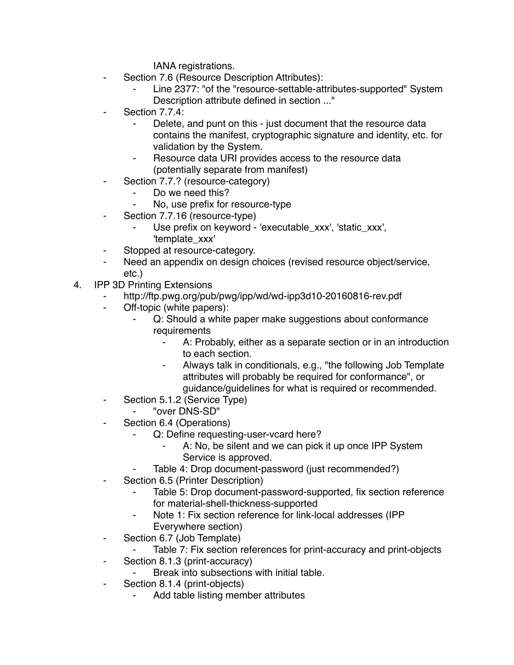IANA registrations.

- Section 7.6 (Resource Description Attributes):
	- Line 2377: "of the "resource-settable-attributes-supported" System Description attribute defined in section ..."
- Section 7.7.4:
	- Delete, and punt on this just document that the resource data contains the manifest, cryptographic signature and identity, etc. for validation by the System.
	- Resource data URI provides access to the resource data (potentially separate from manifest)
- Section 7.7.? (resource-category)
	- Do we need this?
	- No, use prefix for resource-type
- ⁃ Section 7.7.16 (resource-type)
	- Use prefix on keyword 'executable\_xxx', 'static\_xxx', 'template\_xxx'
- Stopped at resource-category.
- Need an appendix on design choices (revised resource object/service, etc.)
- 4. IPP 3D Printing Extensions
	- http://ftp.pwg.org/pub/pwg/ipp/wd/wd-ipp3d10-20160816-rev.pdf
	- ⁃ Off-topic (white papers):
		- Q: Should a white paper make suggestions about conformance requirements
			- A: Probably, either as a separate section or in an introduction to each section.
			- ⁃ Always talk in conditionals, e.g., "the following Job Template attributes will probably be required for conformance", or guidance/guidelines for what is required or recommended.
	- ⁃ Section 5.1.2 (Service Type)
		- ⁃ "over DNS-SD"
	- ⁃ Section 6.4 (Operations)
		- Q: Define requesting-user-vcard here?
			- A: No, be silent and we can pick it up once IPP System Service is approved.
		- Table 4: Drop document-password (just recommended?)
	- Section 6.5 (Printer Description)
		- Table 5: Drop document-password-supported, fix section reference for material-shell-thickness-supported
		- Note 1: Fix section reference for link-local addresses (IPP Everywhere section)
	- ⁃ Section 6.7 (Job Template)
		- Table 7: Fix section references for print-accuracy and print-objects
	- ⁃ Section 8.1.3 (print-accuracy)
		- Break into subsections with initial table.
	- ⁃ Section 8.1.4 (print-objects)
		- Add table listing member attributes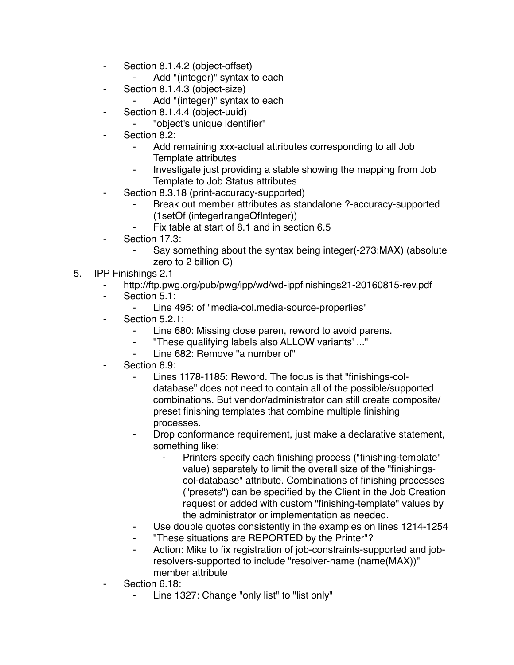- ⁃ Section 8.1.4.2 (object-offset)
	- ⁃ Add "(integer)" syntax to each
- ⁃ Section 8.1.4.3 (object-size)
	- Add "(integer)" syntax to each
- ⁃ Section 8.1.4.4 (object-uuid)
	- ⁃ "object's unique identifier"
- Section 8.2:
	- Add remaining xxx-actual attributes corresponding to all Job Template attributes
	- Investigate just providing a stable showing the mapping from Job Template to Job Status attributes
- Section 8.3.18 (print-accuracy-supported)
	- Break out member attributes as standalone ?-accuracy-supported (1setOf (integer|rangeOfInteger))
	- Fix table at start of 8.1 and in section 6.5
- Section 17.3:
	- Say something about the syntax being integer(-273:MAX) (absolute zero to 2 billion C)
- 5. IPP Finishings 2.1
	- ⁃ http://ftp.pwg.org/pub/pwg/ipp/wd/wd-ippfinishings21-20160815-rev.pdf
	- ⁃ Section 5.1:
		- ⁃ Line 495: of "media-col.media-source-properties"
	- Section 5.2.1:
		- Line 680: Missing close paren, reword to avoid parens.
		- ⁃ "These qualifying labels also ALLOW variants' ..."
		- Line 682: Remove "a number of"
	- Section 6.9:
		- Lines 1178-1185: Reword. The focus is that "finishings-coldatabase" does not need to contain all of the possible/supported combinations. But vendor/administrator can still create composite/ preset finishing templates that combine multiple finishing processes.
		- Drop conformance requirement, just make a declarative statement, something like:
			- Printers specify each finishing process ("finishing-template" value) separately to limit the overall size of the "finishingscol-database" attribute. Combinations of finishing processes ("presets") can be specified by the Client in the Job Creation request or added with custom "finishing-template" values by the administrator or implementation as needed.
		- Use double quotes consistently in the examples on lines 1214-1254
		- ⁃ "These situations are REPORTED by the Printer"?
		- Action: Mike to fix registration of job-constraints-supported and jobresolvers-supported to include "resolver-name (name(MAX))" member attribute
	- Section 6.18:
		- Line 1327: Change "only list" to "list only"